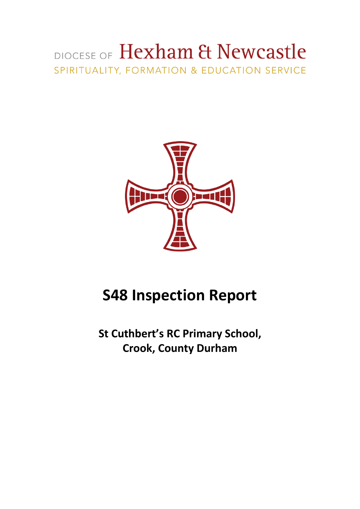# DIOCESE OF Hexham & Newcastle SPIRITUALITY, FORMATION & EDUCATION SERVICE



# **S48 Inspection Report**

**St Cuthbert's RC Primary School, Crook, County Durham**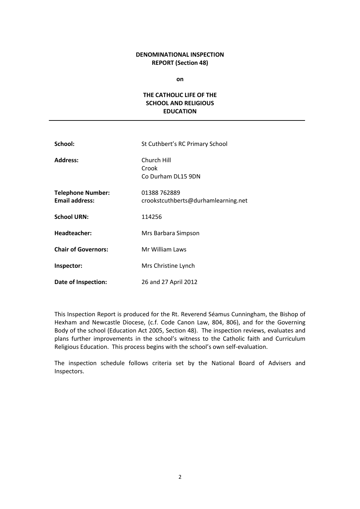## **DENOMINATIONAL INSPECTION REPORT (Section 48)**

**on**

## **THE CATHOLIC LIFE OF THE SCHOOL AND RELIGIOUS EDUCATION**

| School:                                           | St Cuthbert's RC Primary School                     |
|---------------------------------------------------|-----------------------------------------------------|
| <b>Address:</b>                                   | Church Hill<br>Crook<br>Co Durham DL15 9DN          |
| <b>Telephone Number:</b><br><b>Email address:</b> | 01388 762889<br>crookstcuthberts@durhamlearning.net |
| <b>School URN:</b>                                | 114256                                              |
| Headteacher:                                      | Mrs Barbara Simpson                                 |
| <b>Chair of Governors:</b>                        | Mr William Laws                                     |
| Inspector:                                        | Mrs Christine Lynch                                 |
| Date of Inspection:                               | 26 and 27 April 2012                                |

This Inspection Report is produced for the Rt. Reverend Séamus Cunningham, the Bishop of Hexham and Newcastle Diocese, (c.f. Code Canon Law, 804, 806), and for the Governing Body of the school (Education Act 2005, Section 48). The inspection reviews, evaluates and plans further improvements in the school's witness to the Catholic faith and Curriculum Religious Education. This process begins with the school's own self-evaluation.

The inspection schedule follows criteria set by the National Board of Advisers and Inspectors.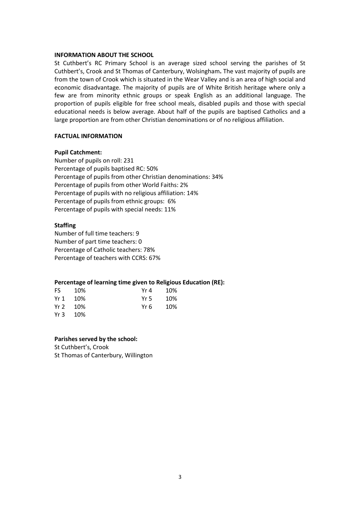#### **INFORMATION ABOUT THE SCHOOL**

St Cuthbert's RC Primary School is an average sized school serving the parishes of St Cuthbert's, Crook and St Thomas of Canterbury, Wolsingham**.** The vast majority of pupils are from the town of Crook which is situated in the Wear Valley and is an area of high social and economic disadvantage. The majority of pupils are of White British heritage where only a few are from minority ethnic groups or speak English as an additional language. The proportion of pupils eligible for free school meals, disabled pupils and those with special educational needs is below average. About half of the pupils are baptised Catholics and a large proportion are from other Christian denominations or of no religious affiliation.

## **FACTUAL INFORMATION**

## **Pupil Catchment:**

Number of pupils on roll: 231 Percentage of pupils baptised RC: 50% Percentage of pupils from other Christian denominations: 34% Percentage of pupils from other World Faiths: 2% Percentage of pupils with no religious affiliation: 14% Percentage of pupils from ethnic groups: 6% Percentage of pupils with special needs: 11%

## **Staffing**

Number of full time teachers: 9 Number of part time teachers: 0 Percentage of Catholic teachers: 78% Percentage of teachers with CCRS: 67%

## **Percentage of learning time given to Religious Education (RE):**

| FS -   | 10%   | Yr 4  | 10% |
|--------|-------|-------|-----|
| Yr $1$ | 10%   | Yr 5  | 10% |
| Yr 2   | - 10% | Yr 6. | 10% |
| Yr 3   | - 10% |       |     |

## **Parishes served by the school:**

St Cuthbert's, Crook St Thomas of Canterbury, Willington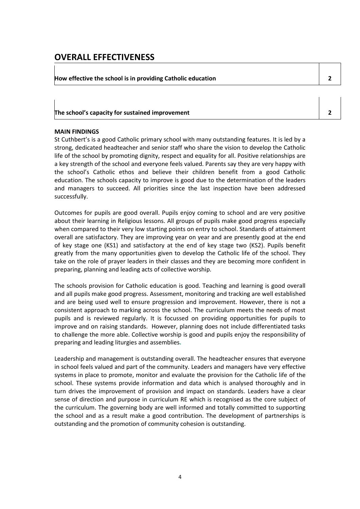# **OVERALL EFFECTIVENESS**

**How effective the school is in providing Catholic education 2**

### **The school's capacity for sustained improvement 2**

## **MAIN FINDINGS**

St Cuthbert's is a good Catholic primary school with many outstanding features. It is led by a strong, dedicated headteacher and senior staff who share the vision to develop the Catholic life of the school by promoting dignity, respect and equality for all. Positive relationships are a key strength of the school and everyone feels valued. Parents say they are very happy with the school's Catholic ethos and believe their children benefit from a good Catholic education. The schools capacity to improve is good due to the determination of the leaders and managers to succeed. All priorities since the last inspection have been addressed successfully.

Outcomes for pupils are good overall. Pupils enjoy coming to school and are very positive about their learning in Religious lessons. All groups of pupils make good progress especially when compared to their very low starting points on entry to school. Standards of attainment overall are satisfactory. They are improving year on year and are presently good at the end of key stage one (KS1) and satisfactory at the end of key stage two (KS2). Pupils benefit greatly from the many opportunities given to develop the Catholic life of the school. They take on the role of prayer leaders in their classes and they are becoming more confident in preparing, planning and leading acts of collective worship.

The schools provision for Catholic education is good. Teaching and learning is good overall and all pupils make good progress. Assessment, monitoring and tracking are well established and are being used well to ensure progression and improvement. However, there is not a consistent approach to marking across the school. The curriculum meets the needs of most pupils and is reviewed regularly. It is focussed on providing opportunities for pupils to improve and on raising standards. However, planning does not include differentiated tasks to challenge the more able. Collective worship is good and pupils enjoy the responsibility of preparing and leading liturgies and assemblies**.**

Leadership and management is outstanding overall. The headteacher ensures that everyone in school feels valued and part of the community. Leaders and managers have very effective systems in place to promote, monitor and evaluate the provision for the Catholic life of the school. These systems provide information and data which is analysed thoroughly and in turn drives the improvement of provision and impact on standards. Leaders have a clear sense of direction and purpose in curriculum RE which is recognised as the core subject of the curriculum. The governing body are well informed and totally committed to supporting the school and as a result make a good contribution. The development of partnerships is outstanding and the promotion of community cohesion is outstanding.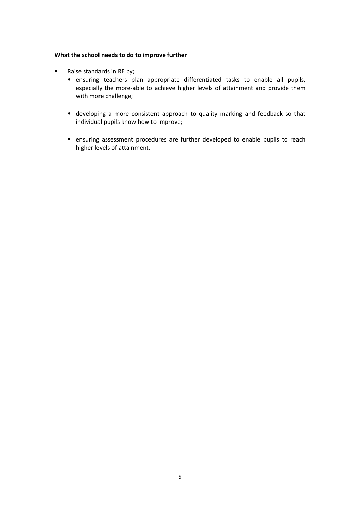## **What the school needs to do to improve further**

- Raise standards in RE by;
	- ensuring teachers plan appropriate differentiated tasks to enable all pupils, especially the more-able to achieve higher levels of attainment and provide them with more challenge;
	- developing a more consistent approach to quality marking and feedback so that individual pupils know how to improve;
	- ensuring assessment procedures are further developed to enable pupils to reach higher levels of attainment.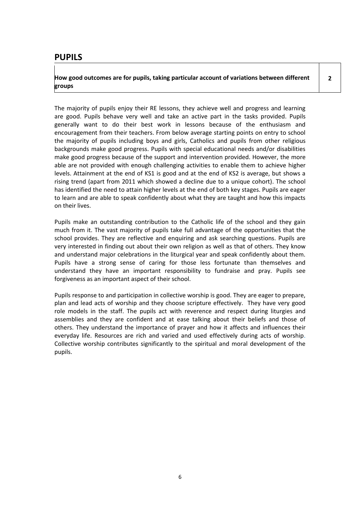## **PUPILS**

**How good outcomes are for pupils, taking particular account of variations between different groups**

The majority of pupils enjoy their RE lessons, they achieve well and progress and learning are good. Pupils behave very well and take an active part in the tasks provided. Pupils generally want to do their best work in lessons because of the enthusiasm and encouragement from their teachers. From below average starting points on entry to school the majority of pupils including boys and girls, Catholics and pupils from other religious backgrounds make good progress. Pupils with special educational needs and/or disabilities make good progress because of the support and intervention provided. However, the more able are not provided with enough challenging activities to enable them to achieve higher levels. Attainment at the end of KS1 is good and at the end of KS2 is average, but shows a rising trend (apart from 2011 which showed a decline due to a unique cohort). The school has identified the need to attain higher levels at the end of both key stages. Pupils are eager to learn and are able to speak confidently about what they are taught and how this impacts on their lives.

Pupils make an outstanding contribution to the Catholic life of the school and they gain much from it. The vast majority of pupils take full advantage of the opportunities that the school provides. They are reflective and enquiring and ask searching questions. Pupils are very interested in finding out about their own religion as well as that of others. They know and understand major celebrations in the liturgical year and speak confidently about them. Pupils have a strong sense of caring for those less fortunate than themselves and understand they have an important responsibility to fundraise and pray. Pupils see forgiveness as an important aspect of their school.

Pupils response to and participation in collective worship is good. They are eager to prepare, plan and lead acts of worship and they choose scripture effectively. They have very good role models in the staff. The pupils act with reverence and respect during liturgies and assemblies and they are confident and at ease talking about their beliefs and those of others. They understand the importance of prayer and how it affects and influences their everyday life. Resources are rich and varied and used effectively during acts of worship. Collective worship contributes significantly to the spiritual and moral development of the pupils.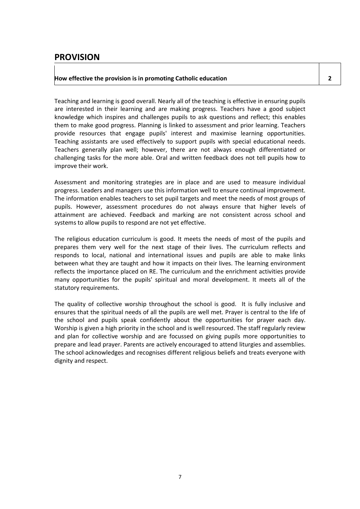## **PROVISION**

## **How effective the provision is in promoting Catholic education 2**

Teaching and learning is good overall. Nearly all of the teaching is effective in ensuring pupils are interested in their learning and are making progress. Teachers have a good subject knowledge which inspires and challenges pupils to ask questions and reflect; this enables them to make good progress. Planning is linked to assessment and prior learning. Teachers provide resources that engage pupils' interest and maximise learning opportunities. Teaching assistants are used effectively to support pupils with special educational needs. Teachers generally plan well; however, there are not always enough differentiated or challenging tasks for the more able. Oral and written feedback does not tell pupils how to improve their work.

Assessment and monitoring strategies are in place and are used to measure individual progress. Leaders and managers use this information well to ensure continual improvement. The information enables teachers to set pupil targets and meet the needs of most groups of pupils. However, assessment procedures do not always ensure that higher levels of attainment are achieved. Feedback and marking are not consistent across school and systems to allow pupils to respond are not yet effective.

The religious education curriculum is good. It meets the needs of most of the pupils and prepares them very well for the next stage of their lives. The curriculum reflects and responds to local, national and international issues and pupils are able to make links between what they are taught and how it impacts on their lives. The learning environment reflects the importance placed on RE. The curriculum and the enrichment activities provide many opportunities for the pupils' spiritual and moral development. It meets all of the statutory requirements.

The quality of collective worship throughout the school is good. It is fully inclusive and ensures that the spiritual needs of all the pupils are well met. Prayer is central to the life of the school and pupils speak confidently about the opportunities for prayer each day. Worship is given a high priority in the school and is well resourced. The staff regularly review and plan for collective worship and are focussed on giving pupils more opportunities to prepare and lead prayer. Parents are actively encouraged to attend liturgies and assemblies. The school acknowledges and recognises different religious beliefs and treats everyone with dignity and respect.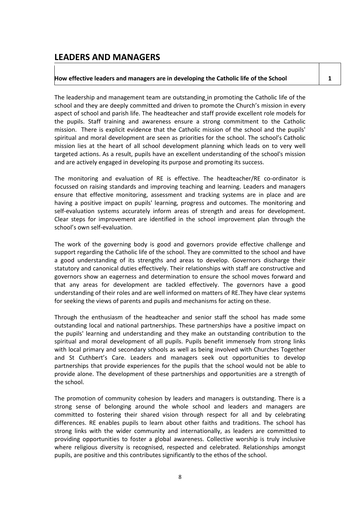## **LEADERS AND MANAGERS**

## **How effective leaders and managers are in developing the Catholic life of the School 1**

The leadership and management team are outstanding in promoting the Catholic life of the school and they are deeply committed and driven to promote the Church's mission in every aspect of school and parish life. The headteacher and staff provide excellent role models for the pupils. Staff training and awareness ensure a strong commitment to the Catholic mission. There is explicit evidence that the Catholic mission of the school and the pupils' spiritual and moral development are seen as priorities for the school. The school's Catholic mission lies at the heart of all school development planning which leads on to very well targeted actions. As a result, pupils have an excellent understanding of the school's mission and are actively engaged in developing its purpose and promoting its success.

The monitoring and evaluation of RE is effective. The headteacher/RE co-ordinator is focussed on raising standards and improving teaching and learning. Leaders and managers ensure that effective monitoring, assessment and tracking systems are in place and are having a positive impact on pupils' learning, progress and outcomes. The monitoring and self-evaluation systems accurately inform areas of strength and areas for development. Clear steps for improvement are identified in the school improvement plan through the school's own self-evaluation.

The work of the governing body is good and governors provide effective challenge and support regarding the Catholic life of the school. They are committed to the school and have a good understanding of its strengths and areas to develop. Governors discharge their statutory and canonical duties effectively. Their relationships with staff are constructive and governors show an eagerness and determination to ensure the school moves forward and that any areas for development are tackled effectively. The governors have a good understanding of their roles and are well informed on matters of RE.They have clear systems for seeking the views of parents and pupils and mechanisms for acting on these.

Through the enthusiasm of the headteacher and senior staff the school has made some outstanding local and national partnerships. These partnerships have a positive impact on the pupils' learning and understanding and they make an outstanding contribution to the spiritual and moral development of all pupils. Pupils benefit immensely from strong links with local primary and secondary schools as well as being involved with Churches Together and St Cuthbert's Care. Leaders and managers seek out opportunities to develop partnerships that provide experiences for the pupils that the school would not be able to provide alone. The development of these partnerships and opportunities are a strength of the school.

The promotion of community cohesion by leaders and managers is outstanding. There is a strong sense of belonging around the whole school and leaders and managers are committed to fostering their shared vision through respect for all and by celebrating differences. RE enables pupils to learn about other faiths and traditions. The school has strong links with the wider community and internationally, as leaders are committed to providing opportunities to foster a global awareness. Collective worship is truly inclusive where religious diversity is recognised, respected and celebrated. Relationships amongst pupils, are positive and this contributes significantly to the ethos of the school.